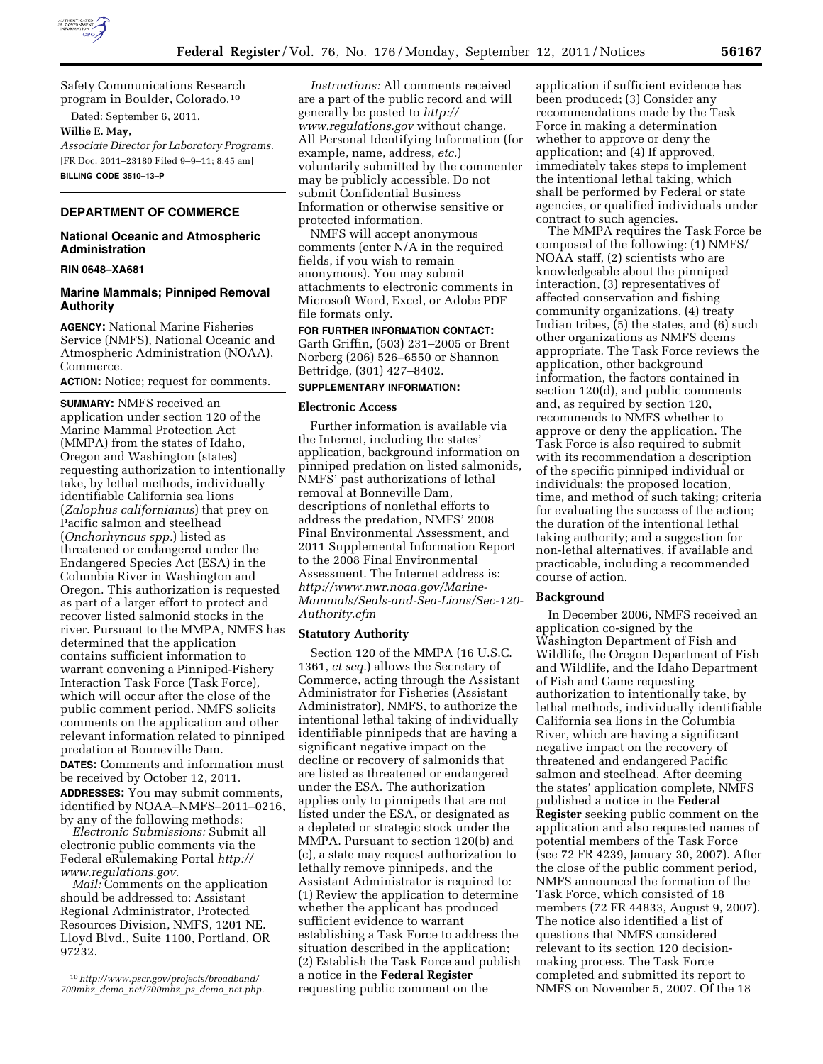

Safety Communications Research program in Boulder, Colorado.10

Dated: September 6, 2011.

# **Willie E. May,**

*Associate Director for Laboratory Programs.*  [FR Doc. 2011–23180 Filed 9–9–11; 8:45 am] **BILLING CODE 3510–13–P** 

# **DEPARTMENT OF COMMERCE**

## **National Oceanic and Atmospheric Administration**

#### **RIN 0648–XA681**

## **Marine Mammals; Pinniped Removal Authority**

**AGENCY:** National Marine Fisheries Service (NMFS), National Oceanic and Atmospheric Administration (NOAA), Commerce.

**ACTION:** Notice; request for comments.

**SUMMARY:** NMFS received an application under section 120 of the Marine Mammal Protection Act (MMPA) from the states of Idaho, Oregon and Washington (states) requesting authorization to intentionally take, by lethal methods, individually identifiable California sea lions (*Zalophus californianus*) that prey on Pacific salmon and steelhead (*Onchorhyncus spp.*) listed as threatened or endangered under the Endangered Species Act (ESA) in the Columbia River in Washington and Oregon. This authorization is requested as part of a larger effort to protect and recover listed salmonid stocks in the river. Pursuant to the MMPA, NMFS has determined that the application contains sufficient information to warrant convening a Pinniped-Fishery Interaction Task Force (Task Force), which will occur after the close of the public comment period. NMFS solicits comments on the application and other relevant information related to pinniped predation at Bonneville Dam.

**DATES:** Comments and information must be received by October 12, 2011. **ADDRESSES:** You may submit comments, identified by NOAA–NMFS–2011–0216, by any of the following methods:

*Electronic Submissions:* Submit all electronic public comments via the Federal eRulemaking Portal *[http://](http://www.regulations.gov) [www.regulations.gov.](http://www.regulations.gov)* 

*Mail:* Comments on the application should be addressed to: Assistant Regional Administrator, Protected Resources Division, NMFS, 1201 NE. Lloyd Blvd., Suite 1100, Portland, OR 97232.

*Instructions:* All comments received are a part of the public record and will generally be posted to *[http://](http://www.regulations.gov) [www.regulations.gov](http://www.regulations.gov)* without change. All Personal Identifying Information (for example, name, address, *etc.*) voluntarily submitted by the commenter may be publicly accessible. Do not submit Confidential Business Information or otherwise sensitive or protected information.

NMFS will accept anonymous comments (enter N/A in the required fields, if you wish to remain anonymous). You may submit attachments to electronic comments in Microsoft Word, Excel, or Adobe PDF file formats only.

**FOR FURTHER INFORMATION CONTACT:**  Garth Griffin, (503) 231–2005 or Brent Norberg (206) 526–6550 or Shannon Bettridge, (301) 427–8402.

# **SUPPLEMENTARY INFORMATION:**

#### **Electronic Access**

Further information is available via the Internet, including the states' application, background information on pinniped predation on listed salmonids, NMFS' past authorizations of lethal removal at Bonneville Dam, descriptions of nonlethal efforts to address the predation, NMFS' 2008 Final Environmental Assessment, and 2011 Supplemental Information Report to the 2008 Final Environmental Assessment. The Internet address is: *[http://www.nwr.noaa.gov/Marine-](http://www.nwr.noaa.gov/Marine-Mammals/Seals-and-Sea-Lions/Sec-120-Authority.cfm)[Mammals/Seals-and-Sea-Lions/Sec-120-](http://www.nwr.noaa.gov/Marine-Mammals/Seals-and-Sea-Lions/Sec-120-Authority.cfm)  [Authority.cfm](http://www.nwr.noaa.gov/Marine-Mammals/Seals-and-Sea-Lions/Sec-120-Authority.cfm)* 

#### **Statutory Authority**

Section 120 of the MMPA (16 U.S.C. 1361, *et seq.*) allows the Secretary of Commerce, acting through the Assistant Administrator for Fisheries (Assistant Administrator), NMFS, to authorize the intentional lethal taking of individually identifiable pinnipeds that are having a significant negative impact on the decline or recovery of salmonids that are listed as threatened or endangered under the ESA. The authorization applies only to pinnipeds that are not listed under the ESA, or designated as a depleted or strategic stock under the MMPA. Pursuant to section 120(b) and (c), a state may request authorization to lethally remove pinnipeds, and the Assistant Administrator is required to: (1) Review the application to determine whether the applicant has produced sufficient evidence to warrant establishing a Task Force to address the situation described in the application; (2) Establish the Task Force and publish a notice in the **Federal Register**  requesting public comment on the

application if sufficient evidence has been produced; (3) Consider any recommendations made by the Task Force in making a determination whether to approve or deny the application; and (4) If approved, immediately takes steps to implement the intentional lethal taking, which shall be performed by Federal or state agencies, or qualified individuals under contract to such agencies.

The MMPA requires the Task Force be composed of the following: (1) NMFS/ NOAA staff, (2) scientists who are knowledgeable about the pinniped interaction, (3) representatives of affected conservation and fishing community organizations, (4) treaty Indian tribes, (5) the states, and (6) such other organizations as NMFS deems appropriate. The Task Force reviews the application, other background information, the factors contained in section 120(d), and public comments and, as required by section 120, recommends to NMFS whether to approve or deny the application. The Task Force is also required to submit with its recommendation a description of the specific pinniped individual or individuals; the proposed location, time, and method of such taking; criteria for evaluating the success of the action; the duration of the intentional lethal taking authority; and a suggestion for non-lethal alternatives, if available and practicable, including a recommended course of action.

#### **Background**

In December 2006, NMFS received an application co-signed by the Washington Department of Fish and Wildlife, the Oregon Department of Fish and Wildlife, and the Idaho Department of Fish and Game requesting authorization to intentionally take, by lethal methods, individually identifiable California sea lions in the Columbia River, which are having a significant negative impact on the recovery of threatened and endangered Pacific salmon and steelhead. After deeming the states' application complete, NMFS published a notice in the **Federal Register** seeking public comment on the application and also requested names of potential members of the Task Force (see 72 FR 4239, January 30, 2007). After the close of the public comment period, NMFS announced the formation of the Task Force, which consisted of 18 members (72 FR 44833, August 9, 2007). The notice also identified a list of questions that NMFS considered relevant to its section 120 decisionmaking process. The Task Force completed and submitted its report to NMFS on November 5, 2007. Of the 18

<sup>10</sup>*[http://www.pscr.gov/projects/broadband/](http://www.pscr.gov/projects/broadband/700mhz_demo_net/700mhz_ps_demo_net.php)  700mhz*\_*demo*\_*[net/700mhz](http://www.pscr.gov/projects/broadband/700mhz_demo_net/700mhz_ps_demo_net.php)*\_*ps*\_*demo*\_*net.php.*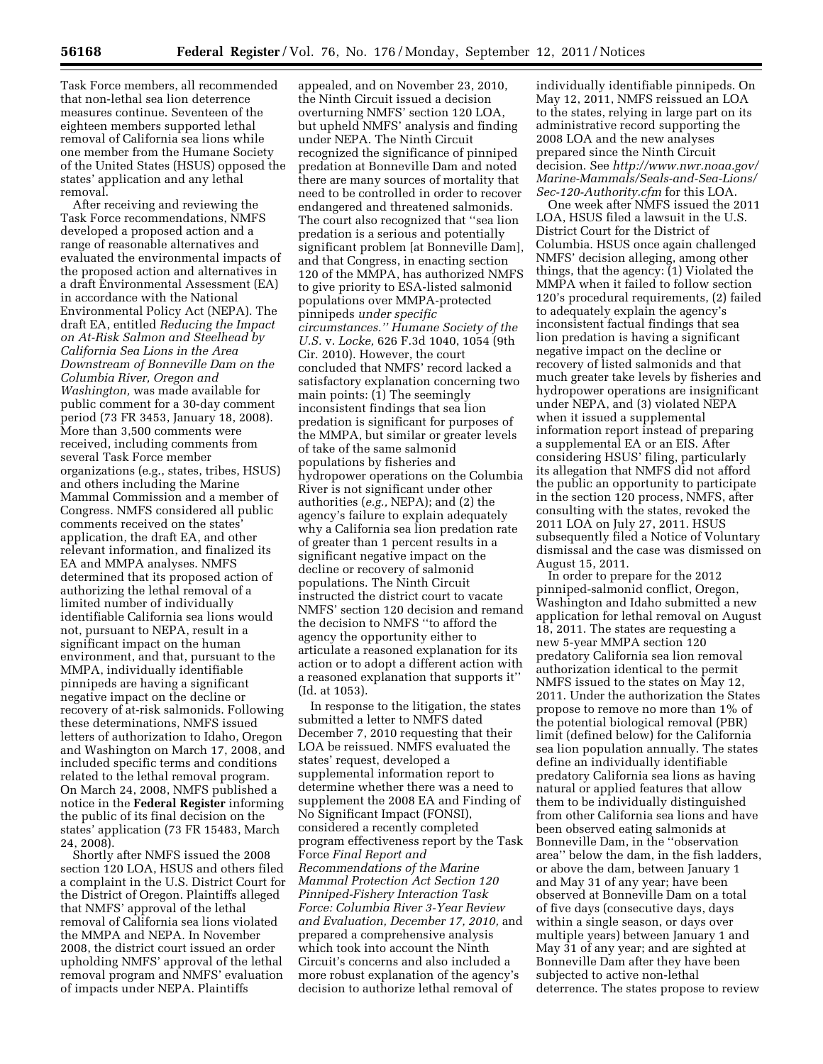Task Force members, all recommended that non-lethal sea lion deterrence measures continue. Seventeen of the eighteen members supported lethal removal of California sea lions while one member from the Humane Society of the United States (HSUS) opposed the states' application and any lethal removal.

After receiving and reviewing the Task Force recommendations, NMFS developed a proposed action and a range of reasonable alternatives and evaluated the environmental impacts of the proposed action and alternatives in a draft Environmental Assessment (EA) in accordance with the National Environmental Policy Act (NEPA). The draft EA, entitled *Reducing the Impact on At-Risk Salmon and Steelhead by California Sea Lions in the Area Downstream of Bonneville Dam on the Columbia River, Oregon and Washington,* was made available for public comment for a 30-day comment period (73 FR 3453, January 18, 2008). More than 3,500 comments were received, including comments from several Task Force member organizations (e.g., states, tribes, HSUS) and others including the Marine Mammal Commission and a member of Congress. NMFS considered all public comments received on the states' application, the draft EA, and other relevant information, and finalized its EA and MMPA analyses. NMFS determined that its proposed action of authorizing the lethal removal of a limited number of individually identifiable California sea lions would not, pursuant to NEPA, result in a significant impact on the human environment, and that, pursuant to the MMPA, individually identifiable pinnipeds are having a significant negative impact on the decline or recovery of at-risk salmonids. Following these determinations, NMFS issued letters of authorization to Idaho, Oregon and Washington on March 17, 2008, and included specific terms and conditions related to the lethal removal program. On March 24, 2008, NMFS published a notice in the **Federal Register** informing the public of its final decision on the states' application (73 FR 15483, March 24, 2008).

Shortly after NMFS issued the 2008 section 120 LOA, HSUS and others filed a complaint in the U.S. District Court for the District of Oregon. Plaintiffs alleged that NMFS' approval of the lethal removal of California sea lions violated the MMPA and NEPA. In November 2008, the district court issued an order upholding NMFS' approval of the lethal removal program and NMFS' evaluation of impacts under NEPA. Plaintiffs

appealed, and on November 23, 2010, the Ninth Circuit issued a decision overturning NMFS' section 120 LOA, but upheld NMFS' analysis and finding under NEPA. The Ninth Circuit recognized the significance of pinniped predation at Bonneville Dam and noted there are many sources of mortality that need to be controlled in order to recover endangered and threatened salmonids. The court also recognized that ''sea lion predation is a serious and potentially significant problem [at Bonneville Dam], and that Congress, in enacting section 120 of the MMPA, has authorized NMFS to give priority to ESA-listed salmonid populations over MMPA-protected pinnipeds *under specific circumstances.'' Humane Society of the U.S.* v. *Locke,* 626 F.3d 1040, 1054 (9th Cir. 2010). However, the court concluded that NMFS' record lacked a satisfactory explanation concerning two main points: (1) The seemingly inconsistent findings that sea lion predation is significant for purposes of the MMPA, but similar or greater levels of take of the same salmonid populations by fisheries and hydropower operations on the Columbia River is not significant under other authorities (*e.g.,* NEPA); and (2) the agency's failure to explain adequately why a California sea lion predation rate of greater than 1 percent results in a significant negative impact on the decline or recovery of salmonid populations. The Ninth Circuit instructed the district court to vacate NMFS' section 120 decision and remand the decision to NMFS ''to afford the agency the opportunity either to articulate a reasoned explanation for its action or to adopt a different action with a reasoned explanation that supports it'' (Id. at 1053).

In response to the litigation, the states submitted a letter to NMFS dated December 7, 2010 requesting that their LOA be reissued. NMFS evaluated the states' request, developed a supplemental information report to determine whether there was a need to supplement the 2008 EA and Finding of No Significant Impact (FONSI), considered a recently completed program effectiveness report by the Task Force *Final Report and Recommendations of the Marine Mammal Protection Act Section 120 Pinniped-Fishery Interaction Task Force: Columbia River 3-Year Review and Evaluation, December 17, 2010,* and prepared a comprehensive analysis which took into account the Ninth Circuit's concerns and also included a more robust explanation of the agency's decision to authorize lethal removal of

individually identifiable pinnipeds. On May 12, 2011, NMFS reissued an LOA to the states, relying in large part on its administrative record supporting the 2008 LOA and the new analyses prepared since the Ninth Circuit decision. See *[http://www.nwr.noaa.gov/](http://www.nwr.noaa.gov/Marine-Mammals/Seals-and-Sea-Lions/Sec-120-Authority.cfm)  [Marine-Mammals/Seals-and-Sea-Lions/](http://www.nwr.noaa.gov/Marine-Mammals/Seals-and-Sea-Lions/Sec-120-Authority.cfm) [Sec-120-Authority.cfm](http://www.nwr.noaa.gov/Marine-Mammals/Seals-and-Sea-Lions/Sec-120-Authority.cfm)* for this LOA.

One week after NMFS issued the 2011 LOA, HSUS filed a lawsuit in the U.S. District Court for the District of Columbia. HSUS once again challenged NMFS' decision alleging, among other things, that the agency: (1) Violated the MMPA when it failed to follow section 120's procedural requirements, (2) failed to adequately explain the agency's inconsistent factual findings that sea lion predation is having a significant negative impact on the decline or recovery of listed salmonids and that much greater take levels by fisheries and hydropower operations are insignificant under NEPA, and (3) violated NEPA when it issued a supplemental information report instead of preparing a supplemental EA or an EIS. After considering HSUS' filing, particularly its allegation that NMFS did not afford the public an opportunity to participate in the section 120 process, NMFS, after consulting with the states, revoked the 2011 LOA on July 27, 2011. HSUS subsequently filed a Notice of Voluntary dismissal and the case was dismissed on August 15, 2011.

In order to prepare for the 2012 pinniped-salmonid conflict, Oregon, Washington and Idaho submitted a new application for lethal removal on August 18, 2011. The states are requesting a new 5-year MMPA section 120 predatory California sea lion removal authorization identical to the permit NMFS issued to the states on May 12, 2011. Under the authorization the States propose to remove no more than 1% of the potential biological removal (PBR) limit (defined below) for the California sea lion population annually. The states define an individually identifiable predatory California sea lions as having natural or applied features that allow them to be individually distinguished from other California sea lions and have been observed eating salmonids at Bonneville Dam, in the ''observation area'' below the dam, in the fish ladders, or above the dam, between January 1 and May 31 of any year; have been observed at Bonneville Dam on a total of five days (consecutive days, days within a single season, or days over multiple years) between January 1 and May 31 of any year; and are sighted at Bonneville Dam after they have been subjected to active non-lethal deterrence. The states propose to review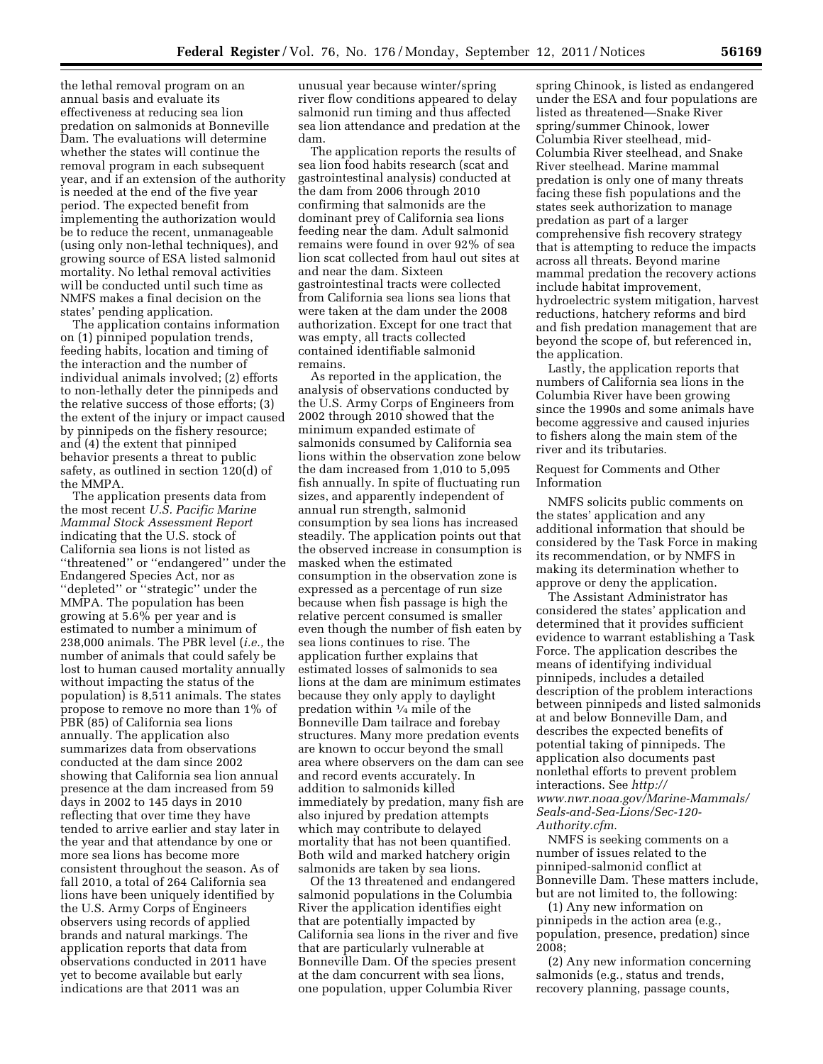the lethal removal program on an annual basis and evaluate its effectiveness at reducing sea lion predation on salmonids at Bonneville Dam. The evaluations will determine whether the states will continue the removal program in each subsequent year, and if an extension of the authority is needed at the end of the five year period. The expected benefit from implementing the authorization would be to reduce the recent, unmanageable (using only non-lethal techniques), and growing source of ESA listed salmonid mortality. No lethal removal activities will be conducted until such time as NMFS makes a final decision on the states' pending application.

The application contains information on (1) pinniped population trends, feeding habits, location and timing of the interaction and the number of individual animals involved; (2) efforts to non-lethally deter the pinnipeds and the relative success of those efforts; (3) the extent of the injury or impact caused by pinnipeds on the fishery resource; and (4) the extent that pinniped behavior presents a threat to public safety, as outlined in section 120(d) of the MMPA.

The application presents data from the most recent *U.S. Pacific Marine Mammal Stock Assessment Report*  indicating that the U.S. stock of California sea lions is not listed as ''threatened'' or ''endangered'' under the Endangered Species Act, nor as ''depleted'' or ''strategic'' under the MMPA. The population has been growing at 5.6% per year and is estimated to number a minimum of 238,000 animals. The PBR level (*i.e.,* the number of animals that could safely be lost to human caused mortality annually without impacting the status of the population) is 8,511 animals. The states propose to remove no more than 1% of PBR (85) of California sea lions annually. The application also summarizes data from observations conducted at the dam since 2002 showing that California sea lion annual presence at the dam increased from 59 days in 2002 to 145 days in 2010 reflecting that over time they have tended to arrive earlier and stay later in the year and that attendance by one or more sea lions has become more consistent throughout the season. As of fall 2010, a total of 264 California sea lions have been uniquely identified by the U.S. Army Corps of Engineers observers using records of applied brands and natural markings. The application reports that data from observations conducted in 2011 have yet to become available but early indications are that 2011 was an

unusual year because winter/spring river flow conditions appeared to delay salmonid run timing and thus affected sea lion attendance and predation at the dam.

The application reports the results of sea lion food habits research (scat and gastrointestinal analysis) conducted at the dam from 2006 through 2010 confirming that salmonids are the dominant prey of California sea lions feeding near the dam. Adult salmonid remains were found in over 92% of sea lion scat collected from haul out sites at and near the dam. Sixteen gastrointestinal tracts were collected from California sea lions sea lions that were taken at the dam under the 2008 authorization. Except for one tract that was empty, all tracts collected contained identifiable salmonid remains.

As reported in the application, the analysis of observations conducted by the U.S. Army Corps of Engineers from 2002 through 2010 showed that the minimum expanded estimate of salmonids consumed by California sea lions within the observation zone below the dam increased from 1,010 to 5,095 fish annually. In spite of fluctuating run sizes, and apparently independent of annual run strength, salmonid consumption by sea lions has increased steadily. The application points out that the observed increase in consumption is masked when the estimated consumption in the observation zone is expressed as a percentage of run size because when fish passage is high the relative percent consumed is smaller even though the number of fish eaten by sea lions continues to rise. The application further explains that estimated losses of salmonids to sea lions at the dam are minimum estimates because they only apply to daylight predation within 1⁄4 mile of the Bonneville Dam tailrace and forebay structures. Many more predation events are known to occur beyond the small area where observers on the dam can see and record events accurately. In addition to salmonids killed immediately by predation, many fish are also injured by predation attempts which may contribute to delayed mortality that has not been quantified. Both wild and marked hatchery origin salmonids are taken by sea lions.

Of the 13 threatened and endangered salmonid populations in the Columbia River the application identifies eight that are potentially impacted by California sea lions in the river and five that are particularly vulnerable at Bonneville Dam. Of the species present at the dam concurrent with sea lions, one population, upper Columbia River

spring Chinook, is listed as endangered under the ESA and four populations are listed as threatened—Snake River spring/summer Chinook, lower Columbia River steelhead, mid-Columbia River steelhead, and Snake River steelhead. Marine mammal predation is only one of many threats facing these fish populations and the states seek authorization to manage predation as part of a larger comprehensive fish recovery strategy that is attempting to reduce the impacts across all threats. Beyond marine mammal predation the recovery actions include habitat improvement, hydroelectric system mitigation, harvest reductions, hatchery reforms and bird and fish predation management that are beyond the scope of, but referenced in, the application.

Lastly, the application reports that numbers of California sea lions in the Columbia River have been growing since the 1990s and some animals have become aggressive and caused injuries to fishers along the main stem of the river and its tributaries.

Request for Comments and Other Information

NMFS solicits public comments on the states' application and any additional information that should be considered by the Task Force in making its recommendation, or by NMFS in making its determination whether to approve or deny the application.

The Assistant Administrator has considered the states' application and determined that it provides sufficient evidence to warrant establishing a Task Force. The application describes the means of identifying individual pinnipeds, includes a detailed description of the problem interactions between pinnipeds and listed salmonids at and below Bonneville Dam, and describes the expected benefits of potential taking of pinnipeds. The application also documents past nonlethal efforts to prevent problem interactions. See *[http://](http://www.nwr.noaa.gov/Marine-Mammals/Seals-and-Sea-Lions/Sec-120-Authority.cfm) [www.nwr.noaa.gov/Marine-Mammals/](http://www.nwr.noaa.gov/Marine-Mammals/Seals-and-Sea-Lions/Sec-120-Authority.cfm)  [Seals-and-Sea-Lions/Sec-120-](http://www.nwr.noaa.gov/Marine-Mammals/Seals-and-Sea-Lions/Sec-120-Authority.cfm) [Authority.cfm.](http://www.nwr.noaa.gov/Marine-Mammals/Seals-and-Sea-Lions/Sec-120-Authority.cfm)* 

NMFS is seeking comments on a number of issues related to the pinniped-salmonid conflict at Bonneville Dam. These matters include, but are not limited to, the following:

(1) Any new information on pinnipeds in the action area (e.g., population, presence, predation) since 2008;

(2) Any new information concerning salmonids (e.g., status and trends, recovery planning, passage counts,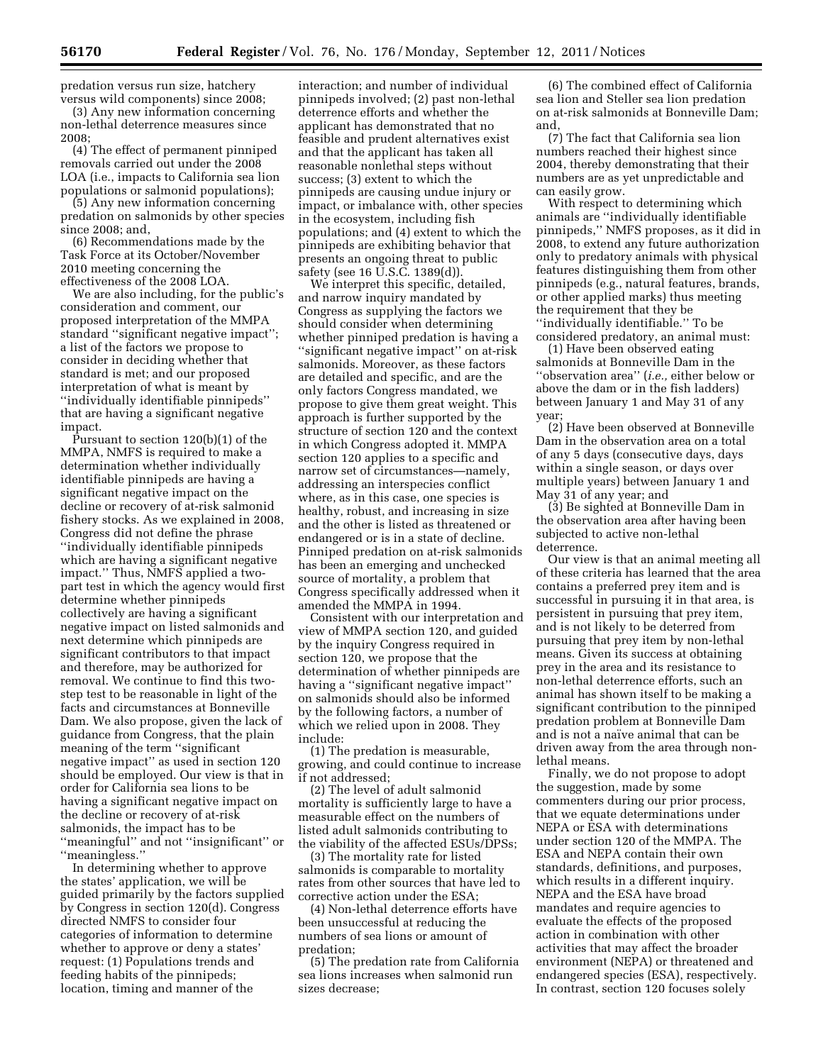predation versus run size, hatchery versus wild components) since 2008;

(3) Any new information concerning non-lethal deterrence measures since 2008;

(4) The effect of permanent pinniped removals carried out under the 2008 LOA (i.e., impacts to California sea lion populations or salmonid populations);

(5) Any new information concerning predation on salmonids by other species since 2008; and,

(6) Recommendations made by the Task Force at its October/November 2010 meeting concerning the effectiveness of the 2008 LOA.

We are also including, for the public's consideration and comment, our proposed interpretation of the MMPA standard ''significant negative impact''; a list of the factors we propose to consider in deciding whether that standard is met; and our proposed interpretation of what is meant by ''individually identifiable pinnipeds'' that are having a significant negative impact.

Pursuant to section 120(b)(1) of the MMPA, NMFS is required to make a determination whether individually identifiable pinnipeds are having a significant negative impact on the decline or recovery of at-risk salmonid fishery stocks. As we explained in 2008, Congress did not define the phrase ''individually identifiable pinnipeds which are having a significant negative impact.'' Thus, NMFS applied a twopart test in which the agency would first determine whether pinnipeds collectively are having a significant negative impact on listed salmonids and next determine which pinnipeds are significant contributors to that impact and therefore, may be authorized for removal. We continue to find this twostep test to be reasonable in light of the facts and circumstances at Bonneville Dam. We also propose, given the lack of guidance from Congress, that the plain meaning of the term ''significant negative impact'' as used in section 120 should be employed. Our view is that in order for California sea lions to be having a significant negative impact on the decline or recovery of at-risk salmonids, the impact has to be ''meaningful'' and not ''insignificant'' or ''meaningless.''

In determining whether to approve the states' application, we will be guided primarily by the factors supplied by Congress in section 120(d). Congress directed NMFS to consider four categories of information to determine whether to approve or deny a states' request: (1) Populations trends and feeding habits of the pinnipeds; location, timing and manner of the

interaction; and number of individual pinnipeds involved; (2) past non-lethal deterrence efforts and whether the applicant has demonstrated that no feasible and prudent alternatives exist and that the applicant has taken all reasonable nonlethal steps without success; (3) extent to which the pinnipeds are causing undue injury or impact, or imbalance with, other species in the ecosystem, including fish populations; and (4) extent to which the pinnipeds are exhibiting behavior that presents an ongoing threat to public safety (see 16 U.S.C. 1389(d)).

We interpret this specific, detailed, and narrow inquiry mandated by Congress as supplying the factors we should consider when determining whether pinniped predation is having a ''significant negative impact'' on at-risk salmonids. Moreover, as these factors are detailed and specific, and are the only factors Congress mandated, we propose to give them great weight. This approach is further supported by the structure of section 120 and the context in which Congress adopted it. MMPA section 120 applies to a specific and narrow set of circumstances—namely, addressing an interspecies conflict where, as in this case, one species is healthy, robust, and increasing in size and the other is listed as threatened or endangered or is in a state of decline. Pinniped predation on at-risk salmonids has been an emerging and unchecked source of mortality, a problem that Congress specifically addressed when it amended the MMPA in 1994.

Consistent with our interpretation and view of MMPA section 120, and guided by the inquiry Congress required in section 120, we propose that the determination of whether pinnipeds are having a ''significant negative impact'' on salmonids should also be informed by the following factors, a number of which we relied upon in 2008. They include:

(1) The predation is measurable, growing, and could continue to increase if not addressed;

(2) The level of adult salmonid mortality is sufficiently large to have a measurable effect on the numbers of listed adult salmonids contributing to the viability of the affected ESUs/DPSs;

(3) The mortality rate for listed salmonids is comparable to mortality rates from other sources that have led to corrective action under the ESA;

(4) Non-lethal deterrence efforts have been unsuccessful at reducing the numbers of sea lions or amount of predation;

(5) The predation rate from California sea lions increases when salmonid run sizes decrease;

(6) The combined effect of California sea lion and Steller sea lion predation on at-risk salmonids at Bonneville Dam; and,

(7) The fact that California sea lion numbers reached their highest since 2004, thereby demonstrating that their numbers are as yet unpredictable and can easily grow.

With respect to determining which animals are ''individually identifiable pinnipeds,'' NMFS proposes, as it did in 2008, to extend any future authorization only to predatory animals with physical features distinguishing them from other pinnipeds (e.g., natural features, brands, or other applied marks) thus meeting the requirement that they be ''individually identifiable.'' To be considered predatory, an animal must:

(1) Have been observed eating salmonids at Bonneville Dam in the ''observation area'' (*i.e.,* either below or above the dam or in the fish ladders) between January 1 and May 31 of any year;

(2) Have been observed at Bonneville Dam in the observation area on a total of any 5 days (consecutive days, days within a single season, or days over multiple years) between January 1 and May 31 of any year; and

(3) Be sighted at Bonneville Dam in the observation area after having been subjected to active non-lethal deterrence.

Our view is that an animal meeting all of these criteria has learned that the area contains a preferred prey item and is successful in pursuing it in that area, is persistent in pursuing that prey item, and is not likely to be deterred from pursuing that prey item by non-lethal means. Given its success at obtaining prey in the area and its resistance to non-lethal deterrence efforts, such an animal has shown itself to be making a significant contribution to the pinniped predation problem at Bonneville Dam and is not a naïve animal that can be driven away from the area through nonlethal means.

Finally, we do not propose to adopt the suggestion, made by some commenters during our prior process, that we equate determinations under NEPA or ESA with determinations under section 120 of the MMPA. The ESA and NEPA contain their own standards, definitions, and purposes, which results in a different inquiry. NEPA and the ESA have broad mandates and require agencies to evaluate the effects of the proposed action in combination with other activities that may affect the broader environment (NEPA) or threatened and endangered species (ESA), respectively. In contrast, section 120 focuses solely